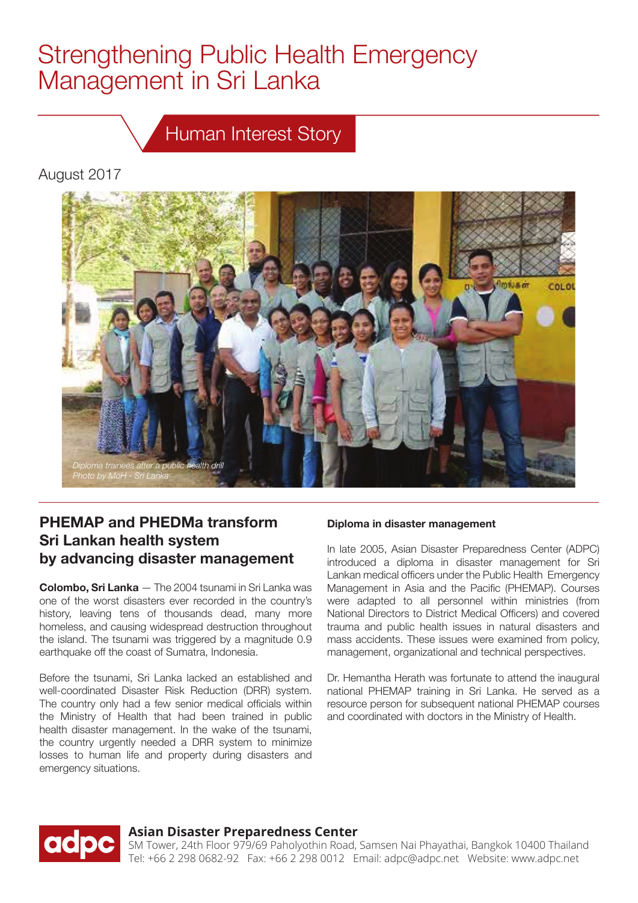# Strengthening Public Health Emergency Management in Sri Lanka

Human Interest Story

August 2017



## **PHEMAP and PHEDMa transform Sri Lankan health system by advancing disaster management**

**Colombo, Sri Lanka** — The 2004 tsunami in Sri Lanka was one of the worst disasters ever recorded in the country's history, leaving tens of thousands dead, many more homeless, and causing widespread destruction throughout the island. The tsunami was triggered by a magnitude 0.9 earthquake off the coast of Sumatra, Indonesia.

Before the tsunami, Sri Lanka lacked an established and well-coordinated Disaster Risk Reduction (DRR) system. The country only had a few senior medical officials within the Ministry of Health that had been trained in public health disaster management. In the wake of the tsunami, the country urgently needed a DRR system to minimize losses to human life and property during disasters and emergency situations.

### **Diploma in disaster management**

In late 2005, Asian Disaster Preparedness Center (ADPC) introduced a diploma in disaster management for Sri Lankan medical officers under the Public Health Emergency Management in Asia and the Pacific (PHEMAP). Courses were adapted to all personnel within ministries (from National Directors to District Medical Officers) and covered trauma and public health issues in natural disasters and mass accidents. These issues were examined from policy, management, organizational and technical perspectives.

Dr. Hemantha Herath was fortunate to attend the inaugural national PHEMAP training in Sri Lanka. He served as a resource person for subsequent national PHEMAP courses and coordinated with doctors in the Ministry of Health.



## **Asian Disaster Preparedness Center**

SM Tower, 24th Floor 979/69 Paholyothin Road, Samsen Nai Phayathai, Bangkok 10400 Thailand Tel: +66 2 298 0682-92 Fax: +66 2 298 0012 Email: adpc@adpc.net Website: www.adpc.net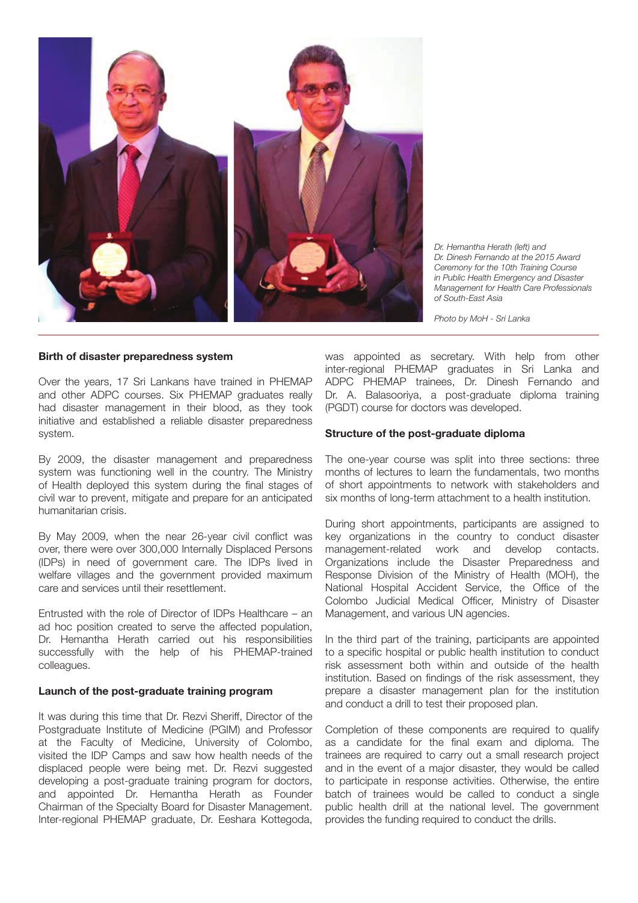

*Dr. Hemantha Herath (left) and Dr. Dinesh Fernando at the 2015 Award Ceremony for the 10th Training Course in Public Health Emergency and Disaster Management for Health Care Professionals of South-East Asia*

*Photo by MoH - Sri Lanka*

#### **Birth of disaster preparedness system**

Over the years, 17 Sri Lankans have trained in PHEMAP and other ADPC courses. Six PHEMAP graduates really had disaster management in their blood, as they took initiative and established a reliable disaster preparedness system.

By 2009, the disaster management and preparedness system was functioning well in the country. The Ministry of Health deployed this system during the final stages of civil war to prevent, mitigate and prepare for an anticipated humanitarian crisis.

By May 2009, when the near 26-year civil conflict was over, there were over 300,000 Internally Displaced Persons (IDPs) in need of government care. The IDPs lived in welfare villages and the government provided maximum care and services until their resettlement.

Entrusted with the role of Director of IDPs Healthcare – an ad hoc position created to serve the affected population, Dr. Hemantha Herath carried out his responsibilities successfully with the help of his PHEMAP-trained colleagues.

#### **Launch of the post-graduate training program**

It was during this time that Dr. Rezvi Sheriff, Director of the Postgraduate Institute of Medicine (PGIM) and Professor at the Faculty of Medicine, University of Colombo, visited the IDP Camps and saw how health needs of the displaced people were being met. Dr. Rezvi suggested developing a post-graduate training program for doctors, and appointed Dr. Hemantha Herath as Founder Chairman of the Specialty Board for Disaster Management. Inter-regional PHEMAP graduate, Dr. Eeshara Kottegoda,

was appointed as secretary. With help from other inter-regional PHEMAP graduates in Sri Lanka and ADPC PHEMAP trainees, Dr. Dinesh Fernando and Dr. A. Balasooriya, a post-graduate diploma training (PGDT) course for doctors was developed.

#### **Structure of the post-graduate diploma**

The one-year course was split into three sections: three months of lectures to learn the fundamentals, two months of short appointments to network with stakeholders and six months of long-term attachment to a health institution.

During short appointments, participants are assigned to key organizations in the country to conduct disaster management-related work and develop contacts. Organizations include the Disaster Preparedness and Response Division of the Ministry of Health (MOH), the National Hospital Accident Service, the Office of the Colombo Judicial Medical Officer, Ministry of Disaster Management, and various UN agencies.

In the third part of the training, participants are appointed to a specific hospital or public health institution to conduct risk assessment both within and outside of the health institution. Based on findings of the risk assessment, they prepare a disaster management plan for the institution and conduct a drill to test their proposed plan.

Completion of these components are required to qualify as a candidate for the final exam and diploma. The trainees are required to carry out a small research project and in the event of a major disaster, they would be called to participate in response activities. Otherwise, the entire batch of trainees would be called to conduct a single public health drill at the national level. The government provides the funding required to conduct the drills.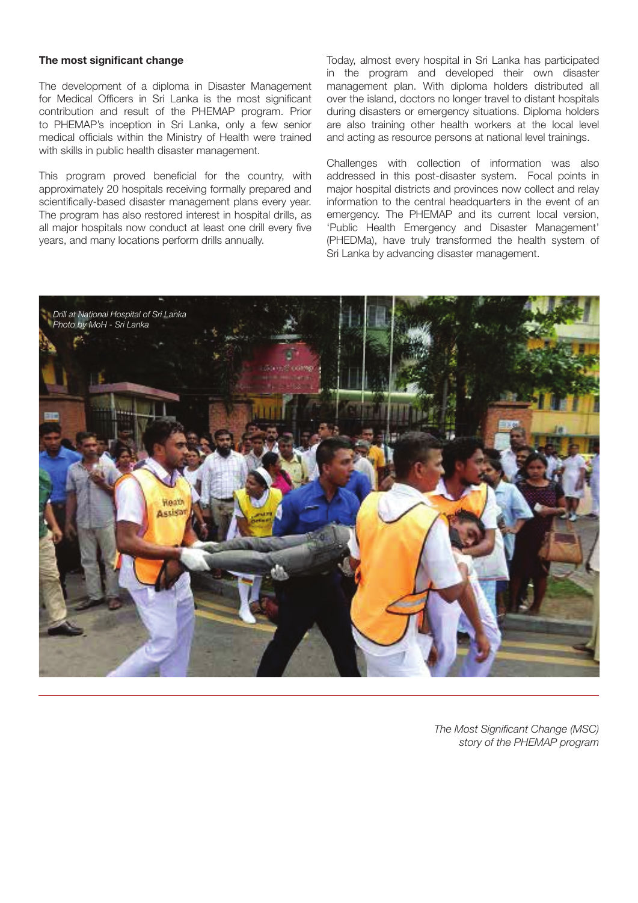#### **The most significant change**

The development of a diploma in Disaster Management for Medical Officers in Sri Lanka is the most significant contribution and result of the PHEMAP program. Prior to PHEMAP's inception in Sri Lanka, only a few senior medical officials within the Ministry of Health were trained with skills in public health disaster management.

This program proved beneficial for the country, with approximately 20 hospitals receiving formally prepared and scientifically-based disaster management plans every year. The program has also restored interest in hospital drills, as all major hospitals now conduct at least one drill every five years, and many locations perform drills annually.

Today, almost every hospital in Sri Lanka has participated in the program and developed their own disaster management plan. With diploma holders distributed all over the island, doctors no longer travel to distant hospitals during disasters or emergency situations. Diploma holders are also training other health workers at the local level and acting as resource persons at national level trainings.

Challenges with collection of information was also addressed in this post-disaster system. Focal points in major hospital districts and provinces now collect and relay information to the central headquarters in the event of an emergency. The PHEMAP and its current local version, 'Public Health Emergency and Disaster Management' (PHEDMa), have truly transformed the health system of Sri Lanka by advancing disaster management.



*The Most Significant Change (MSC) story of the PHEMAP program*